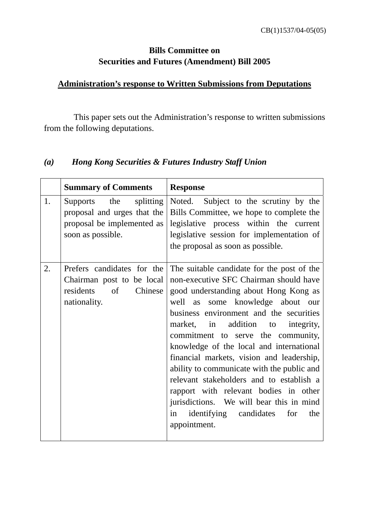### **Bills Committee on Securities and Futures (Amendment) Bill 2005**

#### **Administration's response to Written Submissions from Deputations**

 This paper sets out the Administration's response to written submissions from the following deputations.

#### *(a) Hong Kong Securities & Futures Industry Staff Union*

|    | <b>Summary of Comments</b>                                                                               | <b>Response</b>                                                                                                                                                                                                                                                                                                                                                                                                                                                                                                                                                                                                               |
|----|----------------------------------------------------------------------------------------------------------|-------------------------------------------------------------------------------------------------------------------------------------------------------------------------------------------------------------------------------------------------------------------------------------------------------------------------------------------------------------------------------------------------------------------------------------------------------------------------------------------------------------------------------------------------------------------------------------------------------------------------------|
| 1. | Supports the splitting<br>proposal and urges that the<br>proposal be implemented as<br>soon as possible. | Noted. Subject to the scrutiny by the<br>Bills Committee, we hope to complete the<br>legislative process within the current<br>legislative session for implementation of<br>the proposal as soon as possible.                                                                                                                                                                                                                                                                                                                                                                                                                 |
| 2. | Prefers candidates for the<br>Chairman post to be local<br>of<br>Chinese<br>residents<br>nationality.    | The suitable candidate for the post of the<br>non-executive SFC Chairman should have<br>good understanding about Hong Kong as<br>well as some knowledge about our<br>business environment and the securities<br>addition to integrity,<br>market, in<br>commitment to serve the community,<br>knowledge of the local and international<br>financial markets, vision and leadership,<br>ability to communicate with the public and<br>relevant stakeholders and to establish a<br>rapport with relevant bodies in other<br>jurisdictions. We will bear this in mind<br>identifying candidates for<br>the<br>in<br>appointment. |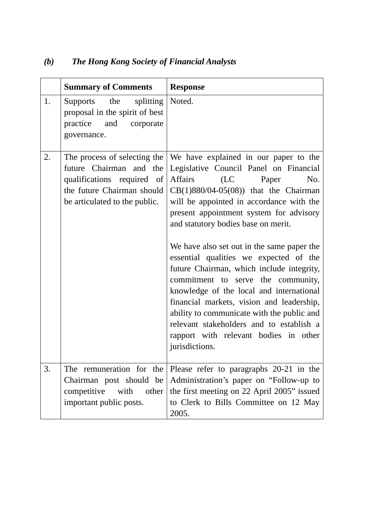|    | <b>Summary of Comments</b>                                                                                                                           | <b>Response</b>                                                                                                                                                                                                                                                                                                                                                                                                                                                                                                                                                                                                                                                                                                      |
|----|------------------------------------------------------------------------------------------------------------------------------------------------------|----------------------------------------------------------------------------------------------------------------------------------------------------------------------------------------------------------------------------------------------------------------------------------------------------------------------------------------------------------------------------------------------------------------------------------------------------------------------------------------------------------------------------------------------------------------------------------------------------------------------------------------------------------------------------------------------------------------------|
| 1. | Supports the<br>splitting<br>proposal in the spirit of best<br>practice and<br>corporate<br>governance.                                              | Noted.                                                                                                                                                                                                                                                                                                                                                                                                                                                                                                                                                                                                                                                                                                               |
| 2. | The process of selecting the<br>future Chairman and the<br>qualifications required of<br>the future Chairman should<br>be articulated to the public. | We have explained in our paper to the<br>Legislative Council Panel on Financial<br>Affairs<br>(LC)<br>Paper<br>No.<br>$CB(1)880/04-05(08))$ that the Chairman<br>will be appointed in accordance with the<br>present appointment system for advisory<br>and statutory bodies base on merit.<br>We have also set out in the same paper the<br>essential qualities we expected of the<br>future Chairman, which include integrity,<br>commitment to serve the community,<br>knowledge of the local and international<br>financial markets, vision and leadership,<br>ability to communicate with the public and<br>relevant stakeholders and to establish a<br>rapport with relevant bodies in other<br>jurisdictions. |
| 3. | Chairman post should be<br>competitive<br>with other<br>important public posts.                                                                      | The remuneration for the Please refer to paragraphs $20-21$ in the<br>Administration's paper on "Follow-up to<br>the first meeting on 22 April 2005" issued<br>to Clerk to Bills Committee on 12 May<br>2005.                                                                                                                                                                                                                                                                                                                                                                                                                                                                                                        |

# *(b) The Hong Kong Society of Financial Analysts*